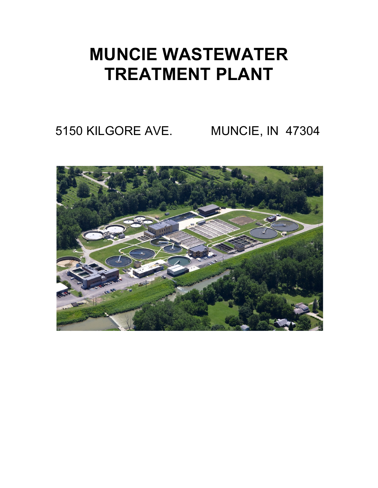## **MUNCIE WASTEWATER TREATMENT PLANT**

5150 KILGORE AVE. MUNCIE, IN 47304

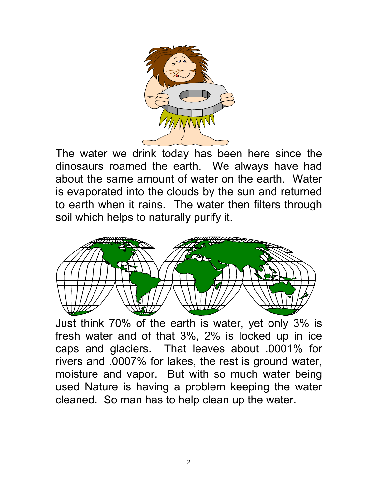

The water we drink today has been here since the dinosaurs roamed the earth. We always have had about the same amount of water on the earth. Water is evaporated into the clouds by the sun and returned to earth when it rains. The water then filters through soil which helps to naturally purify it.



Just think 70% of the earth is water, yet only 3% is fresh water and of that 3%, 2% is locked up in ice caps and glaciers. That leaves about .0001% for rivers and .0007% for lakes, the rest is ground water, moisture and vapor. But with so much water being used Nature is having a problem keeping the water cleaned. So man has to help clean up the water.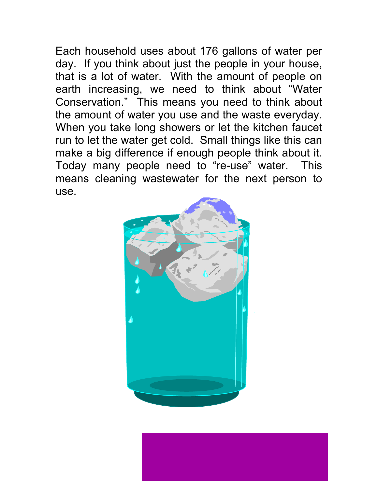Each household uses about 176 gallons of water per day. If you think about just the people in your house, that is a lot of water. With the amount of people on earth increasing, we need to think about "Water Conservation." This means you need to think about the amount of water you use and the waste everyday. When you take long showers or let the kitchen faucet run to let the water get cold. Small things like this can make a big difference if enough people think about it. Today many people need to "re-use" water. This means cleaning wastewater for the next person to use.

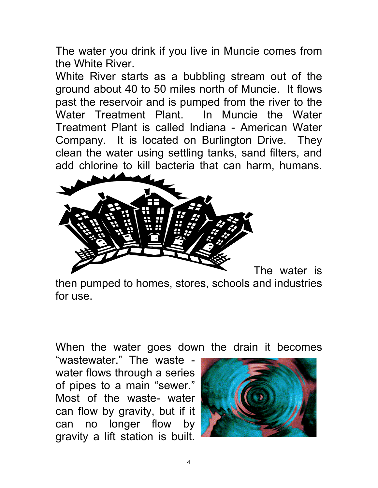The water you drink if you live in Muncie comes from the White River.

White River starts as a bubbling stream out of the ground about 40 to 50 miles north of Muncie. It flows past the reservoir and is pumped from the river to the Water Treatment Plant. In Muncie the Water Treatment Plant is called Indiana - American Water Company. It is located on Burlington Drive. They clean the water using settling tanks, sand filters, and add chlorine to kill bacteria that can harm, humans.



then pumped to homes, stores, schools and industries for use.

When the water goes down the drain it becomes

"wastewater." The waste water flows through a series of pipes to a main "sewer." Most of the waste- water can flow by gravity, but if it can no longer flow by gravity a lift station is built.

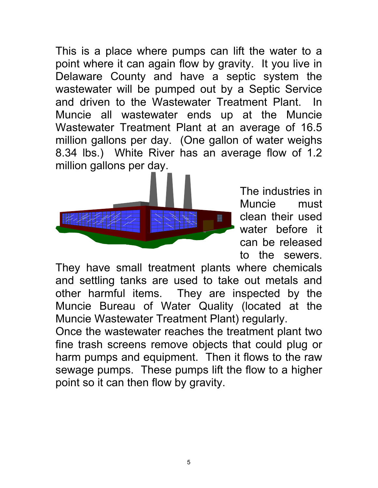This is a place where pumps can lift the water to a point where it can again flow by gravity. It you live in Delaware County and have a septic system the wastewater will be pumped out by a Septic Service and driven to the Wastewater Treatment Plant. In Muncie all wastewater ends up at the Muncie Wastewater Treatment Plant at an average of 16.5 million gallons per day. (One gallon of water weighs 8.34 lbs.) White River has an average flow of 1.2 million gallons per day.



The industries in Muncie must clean their used water before it can be released to the sewers.

They have small treatment plants where chemicals and settling tanks are used to take out metals and other harmful items. They are inspected by the Muncie Bureau of Water Quality (located at the Muncie Wastewater Treatment Plant) regularly.

Once the wastewater reaches the treatment plant two fine trash screens remove objects that could plug or harm pumps and equipment. Then it flows to the raw sewage pumps. These pumps lift the flow to a higher point so it can then flow by gravity.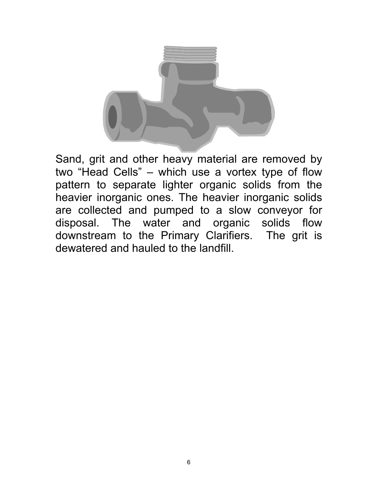

Sand, grit and other heavy material are removed by two "Head Cells" – which use a vortex type of flow pattern to separate lighter organic solids from the heavier inorganic ones. The heavier inorganic solids are collected and pumped to a slow conveyor for disposal. The water and organic solids flow downstream to the Primary Clarifiers. The grit is dewatered and hauled to the landfill.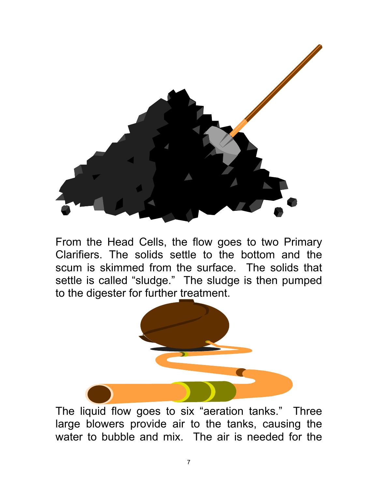

From the Head Cells, the flow goes to two Primary Clarifiers. The solids settle to the bottom and the scum is skimmed from the surface. The solids that settle is called "sludge." The sludge is then pumped to the digester for further treatment.



The liquid flow goes to six "aeration tanks." Three large blowers provide air to the tanks, causing the water to bubble and mix. The air is needed for the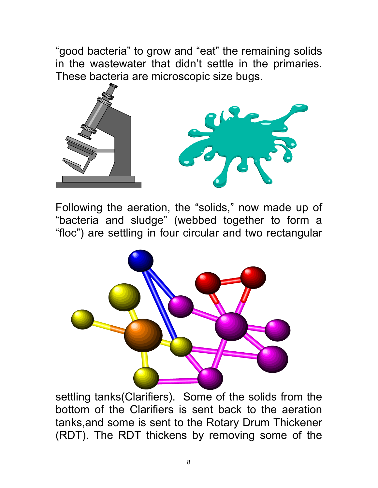"good bacteria" to grow and "eat" the remaining solids in the wastewater that didn't settle in the primaries. These bacteria are microscopic size bugs.



Following the aeration, the "solids," now made up of "bacteria and sludge" (webbed together to form a "floc") are settling in four circular and two rectangular



settling tanks(Clarifiers). Some of the solids from the bottom of the Clarifiers is sent back to the aeration tanks,and some is sent to the Rotary Drum Thickener (RDT). The RDT thickens by removing some of the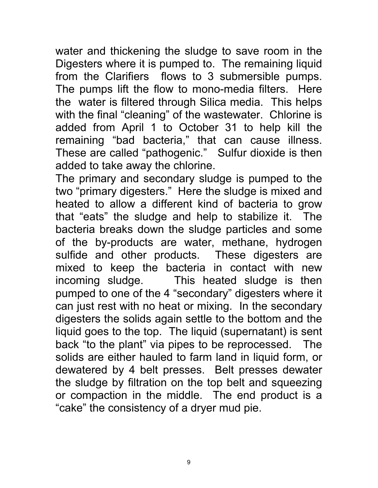water and thickening the sludge to save room in the Digesters where it is pumped to. The remaining liquid from the Clarifiers flows to 3 submersible pumps. The pumps lift the flow to mono-media filters. Here the water is filtered through Silica media. This helps with the final "cleaning" of the wastewater. Chlorine is added from April 1 to October 31 to help kill the remaining "bad bacteria," that can cause illness. These are called "pathogenic." Sulfur dioxide is then added to take away the chlorine.

The primary and secondary sludge is pumped to the two "primary digesters." Here the sludge is mixed and heated to allow a different kind of bacteria to grow that "eats" the sludge and help to stabilize it. The bacteria breaks down the sludge particles and some of the by-products are water, methane, hydrogen sulfide and other products. These digesters are mixed to keep the bacteria in contact with new incoming sludge. This heated sludge is then pumped to one of the 4 "secondary" digesters where it can just rest with no heat or mixing. In the secondary digesters the solids again settle to the bottom and the liquid goes to the top. The liquid (supernatant) is sent back "to the plant" via pipes to be reprocessed. The solids are either hauled to farm land in liquid form, or dewatered by 4 belt presses. Belt presses dewater the sludge by filtration on the top belt and squeezing or compaction in the middle. The end product is a "cake" the consistency of a dryer mud pie.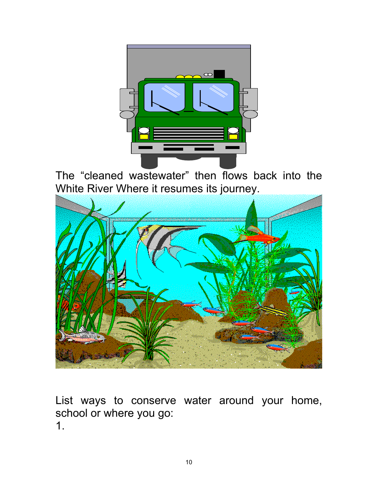

The "cleaned wastewater" then flows back into the White River Where it resumes its journey.



List ways to conserve water around your home, school or where you go: 1.